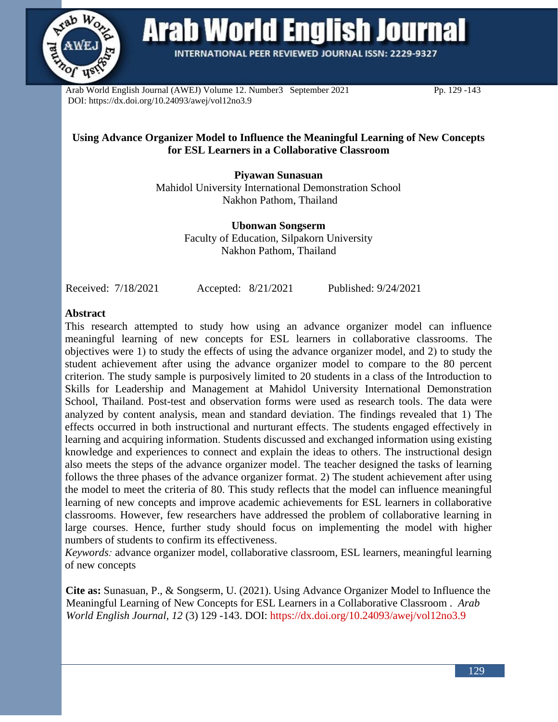

**Arab World English Journal** 

INTERNATIONAL PEER REVIEWED JOURNAL ISSN: 2229-9327

Arab World English Journal (AWEJ) Volume 12. Number3 September 2021 Pp. 129 -143 DOI: https://dx.doi.org/10.24093/awej/vol12no3.9

### **Using Advance Organizer Model to Influence the Meaningful Learning of New Concepts for ESL Learners in a Collaborative Classroom**

**Piyawan Sunasuan** Mahidol University International Demonstration School Nakhon Pathom, Thailand

> **Ubonwan Songserm** Faculty of Education, Silpakorn University Nakhon Pathom, Thailand

Received: 7/18/2021 Accepted: 8/21/2021 Published: 9/24/2021

#### **Abstract**

This research attempted to study how using an advance organizer model can influence meaningful learning of new concepts for ESL learners in collaborative classrooms. The objectives were 1) to study the effects of using the advance organizer model, and 2) to study the student achievement after using the advance organizer model to compare to the 80 percent criterion. The study sample is purposively limited to 20 students in a class of the Introduction to Skills for Leadership and Management at Mahidol University International Demonstration School, Thailand. Post-test and observation forms were used as research tools. The data were analyzed by content analysis, mean and standard deviation. The findings revealed that 1) The effects occurred in both instructional and nurturant effects. The students engaged effectively in learning and acquiring information. Students discussed and exchanged information using existing knowledge and experiences to connect and explain the ideas to others. The instructional design also meets the steps of the advance organizer model. The teacher designed the tasks of learning follows the three phases of the advance organizer format. 2) The student achievement after using the model to meet the criteria of 80. This study reflects that the model can influence meaningful learning of new concepts and improve academic achievements for ESL learners in collaborative classrooms. However, few researchers have addressed the problem of collaborative learning in large courses. Hence, further study should focus on implementing the model with higher numbers of students to confirm its effectiveness.

*Keywords:* advance organizer model, collaborative classroom, ESL learners, meaningful learning of new concepts

**Cite as:** Sunasuan, P., & Songserm, U. (2021). Using Advance Organizer Model to Influence the Meaningful Learning of New Concepts for ESL Learners in a Collaborative Classroom . *Arab World English Journal, 12* (3) 129 -143. DOI:<https://dx.doi.org/10.24093/awej/vol12no3.9>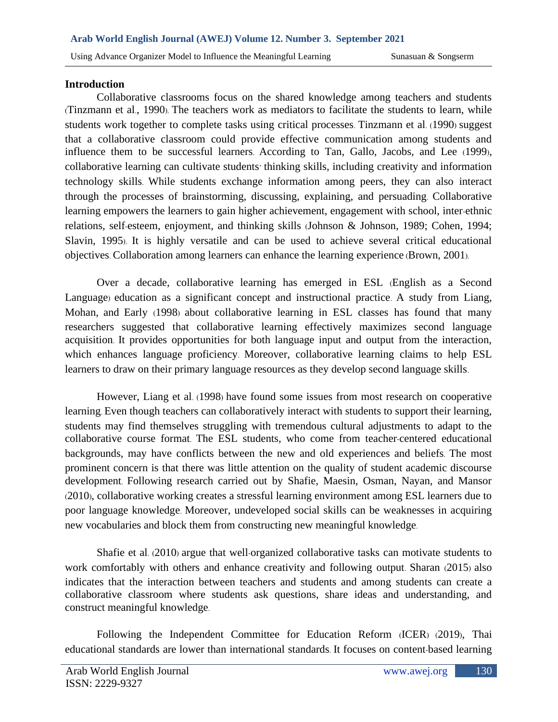#### **Introduction**

Collaborative classrooms focus on the shared knowledge among teachers and students (Tinzmann et al., 1990). The teachers work as mediators to facilitate the students to learn, while students work together to complete tasks using critical processes. Tinzmann et al. (1990) suggest that a collaborative classroom could provide effective communication among students and influence them to be successful learners. According to Tan, Gallo, Jacobs, and Lee (1999), collaborative learning can cultivate students' thinking skills, including creativity and information technology skills. While students exchange information among peers, they can also interact through the processes of brainstorming, discussing, explaining, and persuading. Collaborative learning empowers the learners to gain higher achievement, engagement with school, inter-ethnic relations, self-esteem, enjoyment, and thinking skills (Johnson & Johnson, 1989; Cohen, 1994; Slavin, 1995). It is highly versatile and can be used to achieve several critical educational objectives. Collaboration among learners can enhance the learning experience (Brown, 2001).

Over a decade, collaborative learning has emerged in ESL (English as a Second Language) education as a significant concept and instructional practice. A study from Liang, Mohan, and Early (1998) about collaborative learning in ESL classes has found that many researchers suggested that collaborative learning effectively maximizes second language acquisition. It provides opportunities for both language input and output from the interaction, which enhances language proficiency. Moreover, collaborative learning claims to help ESL learners to draw on their primary language resources as they develop second language skills.

However, Liang et al. (1998) have found some issues from most research on cooperative learning. Even though teachers can collaboratively interact with students to support their learning, students may find themselves struggling with tremendous cultural adjustments to adapt to the collaborative course format. The ESL students, who come from teacher-centered educational backgrounds, may have conflicts between the new and old experiences and beliefs. The most prominent concern is that there was little attention on the quality of student academic discourse development. Following research carried out by Shafie, Maesin, Osman, Nayan, and Mansor (2010), collaborative working creates a stressful learning environment among ESL learners due to poor language knowledge. Moreover, undeveloped social skills can be weaknesses in acquiring new vocabularies and block them from constructing new meaningful knowledge.

Shafie et al. (2010) argue that well-organized collaborative tasks can motivate students to work comfortably with others and enhance creativity and following output. Sharan (2015) also indicates that the interaction between teachers and students and among students can create a collaborative classroom where students ask questions, share ideas and understanding, and construct meaningful knowledge.

Following the Independent Committee for Education Reform (ICER) (2019), Thai educational standards are lower than international standards. It focuses on content-based learning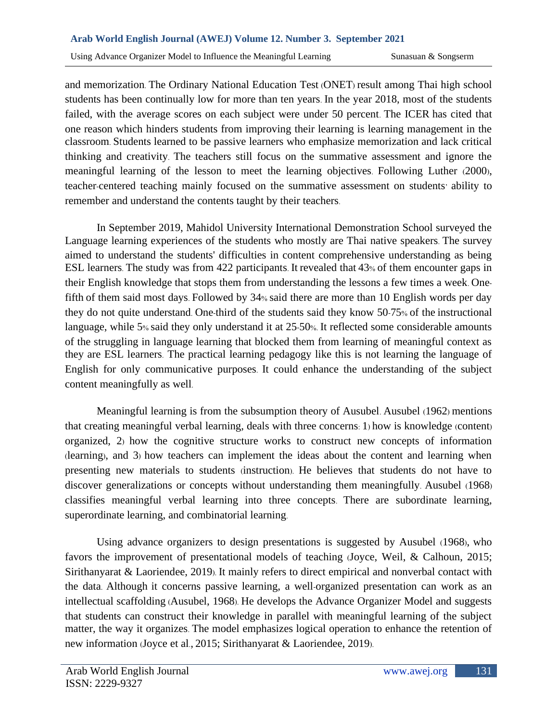and memorization. The Ordinary National Education Test (ONET) result among Thai high school students has been continually low for more than ten years. In the year 2018, most of the students failed, with the average scores on each subject were under 50 percent. The ICER has cited that one reason which hinders students from improving their learning is learning management in the classroom. Students learned to be passive learners who emphasize memorization and lack critical thinking and creativity. The teachers still focus on the summative assessment and ignore the meaningful learning of the lesson to meet the learning objectives. Following Luther (2000), teacher-centered teaching mainly focused on the summative assessment on students' ability to remember and understand the contents taught by their teachers.

In September 2019, Mahidol University International Demonstration School surveyed the Language learning experiences of the students who mostly are Thai native speakers. The survey aimed to understand the students' difficulties in content comprehensive understanding as being ESL learners. The study was from 422 participants. It revealed that 43% of them encounter gaps in their English knowledge that stops them from understanding the lessons a few times a week. Onefifth of them said most days. Followed by 34% said there are more than 10 English words per day they do not quite understand. One-third of the students said they know 50-75% of the instructional language, while 5% said they only understand it at 25-50%. It reflected some considerable amounts of the struggling in language learning that blocked them from learning of meaningful context as they are ESL learners. The practical learning pedagogy like this is not learning the language of English for only communicative purposes. It could enhance the understanding of the subject content meaningfully as well.

Meaningful learning is from the subsumption theory of Ausubel. Ausubel (1962) mentions that creating meaningful verbal learning, deals with three concerns: 1) how is knowledge (content) organized, 2) how the cognitive structure works to construct new concepts of information (learning), and 3) how teachers can implement the ideas about the content and learning when presenting new materials to students (instruction). He believes that students do not have to discover generalizations or concepts without understanding them meaningfully. Ausubel (1968) classifies meaningful verbal learning into three concepts. There are subordinate learning, superordinate learning, and combinatorial learning.

Using advance organizers to design presentations is suggested by Ausubel (1968), who favors the improvement of presentational models of teaching (Joyce, Weil, & Calhoun, 2015; Sirithanyarat & Laoriendee, 2019). It mainly refers to direct empirical and nonverbal contact with the data. Although it concerns passive learning, a well-organized presentation can work as an intellectual scaffolding (Ausubel, 1968). He develops the Advance Organizer Model and suggests that students can construct their knowledge in parallel with meaningful learning of the subject matter, the way it organizes. The model emphasizes logical operation to enhance the retention of new information (Joyce et al., 2015; Sirithanyarat & Laoriendee, 2019).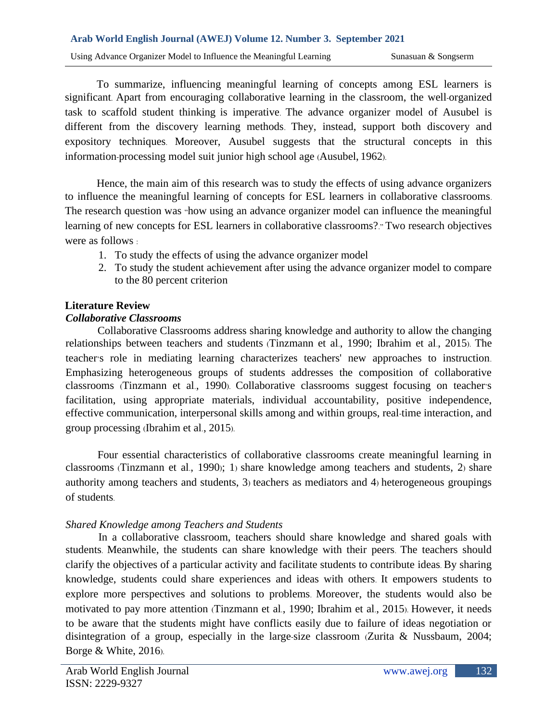#### **Arab World English Journal (AWEJ) Volume 12. Number 3. September 2021**

Using Advance Organizer Model to Influence the Meaningful Learning Sunasuan & Songserm

To summarize, influencing meaningful learning of concepts among ESL learners is significant. Apart from encouraging collaborative learning in the classroom, the well-organized task to scaffold student thinking is imperative. The advance organizer model of Ausubel is different from the discovery learning methods. They, instead, support both discovery and expository techniques. Moreover, Ausubel suggests that the structural concepts in this information-processing model suit junior high school age (Ausubel, 1962).

Hence, the main aim of this research was to study the effects of using advance organizers to influence the meaningful learning of concepts for ESL learners in collaborative classrooms. The research question was "how using an advance organizer model can influence the meaningful learning of new concepts for ESL learners in collaborative classrooms?." Two research objectives were as follows :

- 1. To study the effects of using the advance organizer model
- 2. To study the student achievement after using the advance organizer model to compare to the 80 percent criterion

#### **Literature Review**

#### *Collaborative Classrooms*

Collaborative Classrooms address sharing knowledge and authority to allow the changing relationships between teachers and students (Tinzmann et al., 1990; Ibrahim et al., 2015). The teacher's role in mediating learning characterizes teachers' new approaches to instruction. Emphasizing heterogeneous groups of students addresses the composition of collaborative classrooms (Tinzmann et al., 1990). Collaborative classrooms suggest focusing on teacher's facilitation, using appropriate materials, individual accountability, positive independence, effective communication, interpersonal skills among and within groups, real-time interaction, and group processing (Ibrahim et al., 2015).

Four essential characteristics of collaborative classrooms create meaningful learning in classrooms (Tinzmann et al., 1990); 1) share knowledge among teachers and students, 2) share authority among teachers and students, 3) teachers as mediators and 4) heterogeneous groupings of students.

## *Shared Knowledge among Teachers and Students*

In a collaborative classroom, teachers should share knowledge and shared goals with students. Meanwhile, the students can share knowledge with their peers. The teachers should clarify the objectives of a particular activity and facilitate students to contribute ideas. By sharing knowledge, students could share experiences and ideas with others. It empowers students to explore more perspectives and solutions to problems. Moreover, the students would also be motivated to pay more attention (Tinzmann et al., 1990; Ibrahim et al., 2015). However, it needs to be aware that the students might have conflicts easily due to failure of ideas negotiation or disintegration of a group, especially in the large-size classroom (Zurita & Nussbaum, 2004; Borge & White, 2016).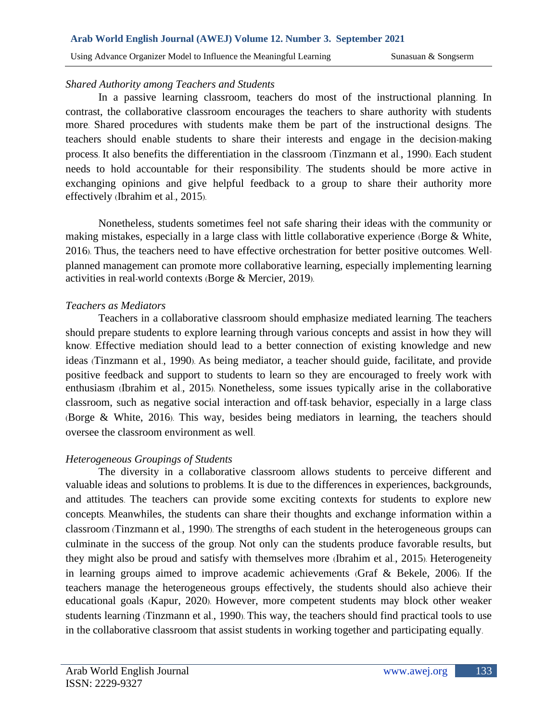#### *Shared Authority among Teachers and Students*

In a passive learning classroom, teachers do most of the instructional planning. In contrast, the collaborative classroom encourages the teachers to share authority with students more. Shared procedures with students make them be part of the instructional designs. The teachers should enable students to share their interests and engage in the decision-making process. It also benefits the differentiation in the classroom (Tinzmann et al., 1990). Each student needs to hold accountable for their responsibility. The students should be more active in exchanging opinions and give helpful feedback to a group to share their authority more effectively (Ibrahim et al., 2015).

Nonetheless, students sometimes feel not safe sharing their ideas with the community or making mistakes, especially in a large class with little collaborative experience (Borge & White, 2016). Thus, the teachers need to have effective orchestration for better positive outcomes. Wellplanned management can promote more collaborative learning, especially implementing learning activities in real-world contexts (Borge & Mercier, 2019).

## *Teachers as Mediators*

Teachers in a collaborative classroom should emphasize mediated learning. The teachers should prepare students to explore learning through various concepts and assist in how they will know. Effective mediation should lead to a better connection of existing knowledge and new ideas (Tinzmann et al., 1990). As being mediator, a teacher should guide, facilitate, and provide positive feedback and support to students to learn so they are encouraged to freely work with enthusiasm (Ibrahim et al., 2015). Nonetheless, some issues typically arise in the collaborative classroom, such as negative social interaction and off-task behavior, especially in a large class (Borge & White, 2016). This way, besides being mediators in learning, the teachers should oversee the classroom environment as well.

# *Heterogeneous Groupings of Students*

The diversity in a collaborative classroom allows students to perceive different and valuable ideas and solutions to problems. It is due to the differences in experiences, backgrounds, and attitudes. The teachers can provide some exciting contexts for students to explore new concepts. Meanwhiles, the students can share their thoughts and exchange information within a classroom (Tinzmann et al., 1990). The strengths of each student in the heterogeneous groups can culminate in the success of the group. Not only can the students produce favorable results, but they might also be proud and satisfy with themselves more (Ibrahim et al., 2015). Heterogeneity in learning groups aimed to improve academic achievements (Graf & Bekele, 2006). If the teachers manage the heterogeneous groups effectively, the students should also achieve their educational goals (Kapur, 2020). However, more competent students may block other weaker students learning (Tinzmann et al., 1990). This way, the teachers should find practical tools to use in the collaborative classroom that assist students in working together and participating equally.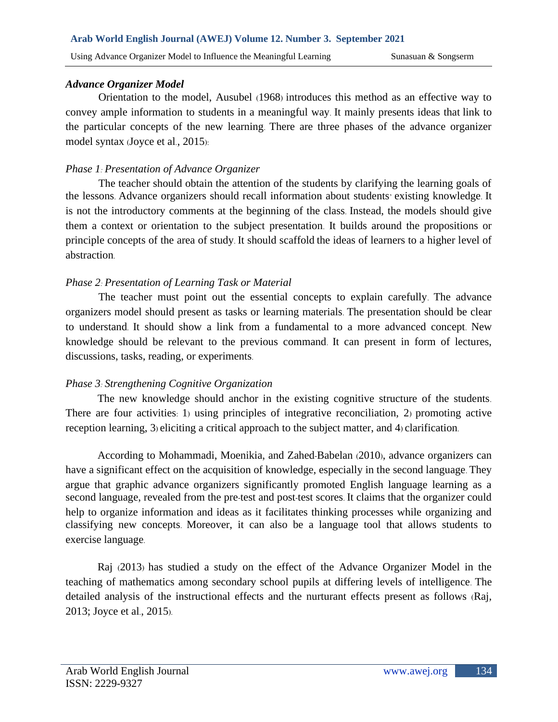## *Advance Organizer Model*

Orientation to the model, Ausubel (1968) introduces this method as an effective way to convey ample information to students in a meaningful way. It mainly presents ideas that link to the particular concepts of the new learning. There are three phases of the advance organizer model syntax (Joyce et al., 2015):

# *Phase 1: Presentation of Advance Organizer*

The teacher should obtain the attention of the students by clarifying the learning goals of the lessons. Advance organizers should recall information about students' existing knowledge. It is not the introductory comments at the beginning of the class. Instead, the models should give them a context or orientation to the subject presentation. It builds around the propositions or principle concepts of the area of study. It should scaffold the ideas of learners to a higher level of abstraction.

# *Phase 2: Presentation of Learning Task or Material*

The teacher must point out the essential concepts to explain carefully. The advance organizers model should present as tasks or learning materials. The presentation should be clear to understand. It should show a link from a fundamental to a more advanced concept. New knowledge should be relevant to the previous command. It can present in form of lectures, discussions, tasks, reading, or experiments.

# *Phase 3: Strengthening Cognitive Organization*

The new knowledge should anchor in the existing cognitive structure of the students. There are four activities: 1) using principles of integrative reconciliation, 2) promoting active reception learning, 3) eliciting a critical approach to the subject matter, and 4) clarification.

According to Mohammadi, Moenikia, and Zahed-Babelan (2010), advance organizers can have a significant effect on the acquisition of knowledge, especially in the second language. They argue that graphic advance organizers significantly promoted English language learning as a second language, revealed from the pre-test and post-test scores. It claims that the organizer could help to organize information and ideas as it facilitates thinking processes while organizing and classifying new concepts. Moreover, it can also be a language tool that allows students to exercise language.

Raj (2013) has studied a study on the effect of the Advance Organizer Model in the teaching of mathematics among secondary school pupils at differing levels of intelligence. The detailed analysis of the instructional effects and the nurturant effects present as follows (Raj, 2013; Joyce et al., 2015).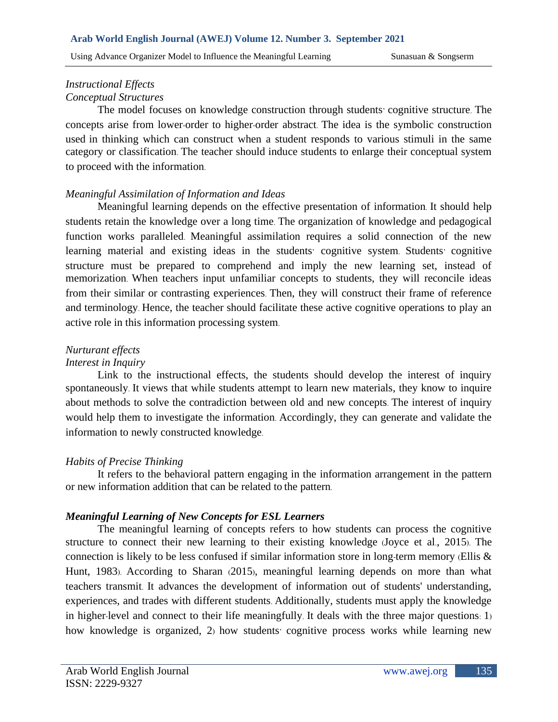#### *Instructional Effects Conceptual Structures*

The model focuses on knowledge construction through students' cognitive structure. The concepts arise from lower-order to higher-order abstract. The idea is the symbolic construction used in thinking which can construct when a student responds to various stimuli in the same category or classification. The teacher should induce students to enlarge their conceptual system to proceed with the information.

## *Meaningful Assimilation of Information and Ideas*

Meaningful learning depends on the effective presentation of information. It should help students retain the knowledge over a long time. The organization of knowledge and pedagogical function works paralleled. Meaningful assimilation requires a solid connection of the new learning material and existing ideas in the students' cognitive system. Students' cognitive structure must be prepared to comprehend and imply the new learning set, instead of memorization. When teachers input unfamiliar concepts to students, they will reconcile ideas from their similar or contrasting experiences. Then, they will construct their frame of reference and terminology. Hence, the teacher should facilitate these active cognitive operations to play an active role in this information processing system.

# *Nurturant effects*

## *Interest in Inquiry*

Link to the instructional effects, the students should develop the interest of inquiry spontaneously. It views that while students attempt to learn new materials, they know to inquire about methods to solve the contradiction between old and new concepts. The interest of inquiry would help them to investigate the information. Accordingly, they can generate and validate the information to newly constructed knowledge.

# *Habits of Precise Thinking*

It refers to the behavioral pattern engaging in the information arrangement in the pattern or new information addition that can be related to the pattern.

## *Meaningful Learning of New Concepts for ESL Learners*

The meaningful learning of concepts refers to how students can process the cognitive structure to connect their new learning to their existing knowledge (Joyce et al., 2015). The connection is likely to be less confused if similar information store in long-term memory (Ellis & Hunt, 1983). According to Sharan (2015), meaningful learning depends on more than what teachers transmit. It advances the development of information out of students' understanding, experiences, and trades with different students. Additionally, students must apply the knowledge in higher-level and connect to their life meaningfully. It deals with the three major questions: 1) how knowledge is organized, 2) how students' cognitive process works while learning new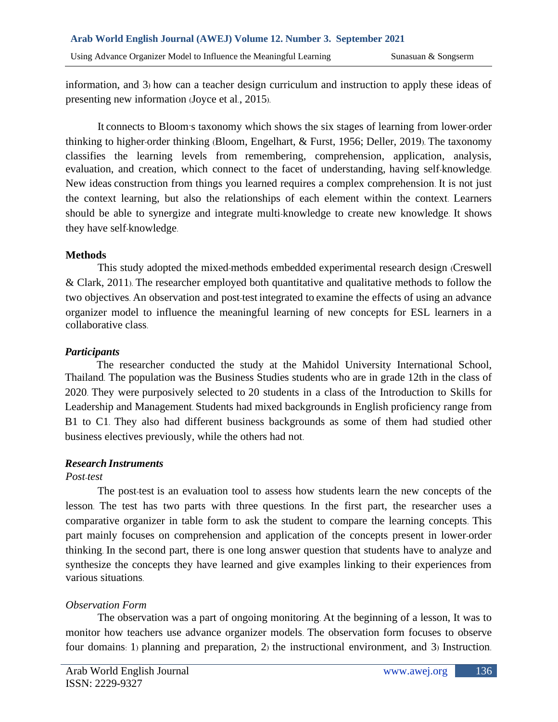information, and 3) how can a teacher design curriculum and instruction to apply these ideas of presenting new information (Joyce et al., 2015).

It connects to Bloom's taxonomy which shows the six stages of learning from lower-order thinking to higher-order thinking (Bloom, Engelhart, & Furst, 1956; Deller, 2019). The taxonomy classifies the learning levels from remembering, comprehension, application, analysis, evaluation, and creation, which connect to the facet of understanding, having self-knowledge. New ideas construction from things you learned requires a complex comprehension. It is not just the context learning, but also the relationships of each element within the context. Learners should be able to synergize and integrate multi-knowledge to create new knowledge. It shows they have self-knowledge.

#### **Methods**

This study adopted the mixed-methods embedded experimental research design (Creswell & Clark, 2011). The researcher employed both quantitative and qualitative methods to follow the two objectives. An observation and post-test integrated to examine the effects of using an advance organizer model to influence the meaningful learning of new concepts for ESL learners in a collaborative class.

## *Participants*

The researcher conducted the study at the Mahidol University International School, Thailand. The population was the Business Studies students who are in grade 12th in the class of 2020. They were purposively selected to 20 students in a class of the Introduction to Skills for Leadership and Management. Students had mixed backgrounds in English proficiency range from B1 to C1. They also had different business backgrounds as some of them had studied other business electives previously, while the others had not.

## *Research Instruments*

## *Post-test*

The post-test is an evaluation tool to assess how students learn the new concepts of the lesson. The test has two parts with three questions. In the first part, the researcher uses a comparative organizer in table form to ask the student to compare the learning concepts. This part mainly focuses on comprehension and application of the concepts present in lower-order thinking. In the second part, there is one long answer question that students have to analyze and synthesize the concepts they have learned and give examples linking to their experiences from various situations.

## *Observation Form*

The observation was a part of ongoing monitoring. At the beginning of a lesson, It was to monitor how teachers use advance organizer models. The observation form focuses to observe four domains: 1) planning and preparation, 2) the instructional environment, and 3) Instruction.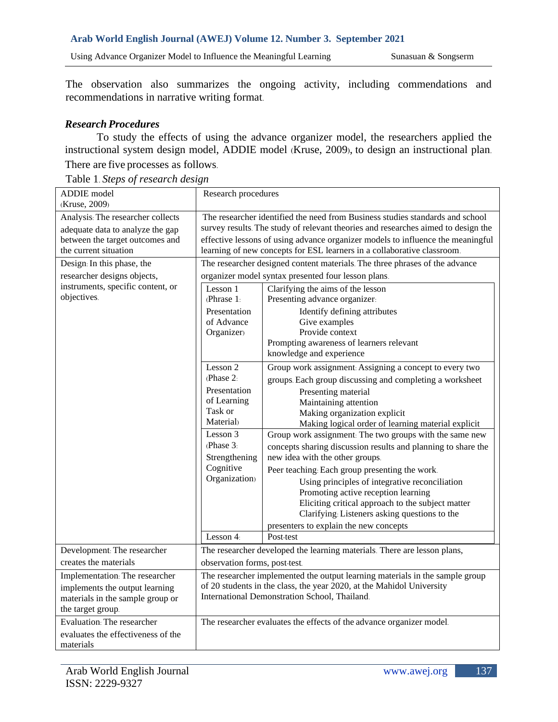#### **Arab World English Journal (AWEJ) Volume 12. Number 3. September 2021**

Using Advance Organizer Model to Influence the Meaningful Learning Sunasuan & Songserm

The observation also summarizes the ongoing activity, including commendations and recommendations in narrative writing format.

## *Research Procedures*

To study the effects of using the advance organizer model, the researchers applied the instructional system design model, ADDIE model (Kruse, 2009), to design an instructional plan.

There are five processes as follows.

Table 1. *Steps of research design* 

| ADDIE model<br>(Kruse, 2009)                                                                                                      | Research procedures                                                                                                                                                                                                                                                                                                              |                                                                                                                                                                                                                                                                                                                                                                                                                                                                                                                                                                                                                                                                                                                                                                                                                                                                                                                                                                                                                                                                                          |  |  |  |  |
|-----------------------------------------------------------------------------------------------------------------------------------|----------------------------------------------------------------------------------------------------------------------------------------------------------------------------------------------------------------------------------------------------------------------------------------------------------------------------------|------------------------------------------------------------------------------------------------------------------------------------------------------------------------------------------------------------------------------------------------------------------------------------------------------------------------------------------------------------------------------------------------------------------------------------------------------------------------------------------------------------------------------------------------------------------------------------------------------------------------------------------------------------------------------------------------------------------------------------------------------------------------------------------------------------------------------------------------------------------------------------------------------------------------------------------------------------------------------------------------------------------------------------------------------------------------------------------|--|--|--|--|
| Analysis: The researcher collects<br>adequate data to analyze the gap<br>between the target outcomes and<br>the current situation | The researcher identified the need from Business studies standards and school<br>survey results. The study of relevant theories and researches aimed to design the<br>effective lessons of using advance organizer models to influence the meaningful<br>learning of new concepts for ESL learners in a collaborative classroom. |                                                                                                                                                                                                                                                                                                                                                                                                                                                                                                                                                                                                                                                                                                                                                                                                                                                                                                                                                                                                                                                                                          |  |  |  |  |
| Design: In this phase, the<br>researcher designs objects,<br>instruments, specific content, or<br>objectives.                     | Lesson 1<br>(Phrase $1$ :<br>Presentation<br>of Advance<br>Organizer)<br>Lesson 2<br>(Phase 2:<br>Presentation<br>of Learning<br>Task or<br>Material<br>Lesson 3<br>(Phase 3)<br>Strengthening<br>Cognitive<br>Organization)<br>Lesson $4$ :                                                                                     | The researcher designed content materials. The three phrases of the advance<br>organizer model syntax presented four lesson plans.<br>Clarifying the aims of the lesson<br>Presenting advance organizer.<br>Identify defining attributes<br>Give examples<br>Provide context<br>Prompting awareness of learners relevant<br>knowledge and experience<br>Group work assignment. Assigning a concept to every two<br>groups. Each group discussing and completing a worksheet<br>Presenting material<br>Maintaining attention<br>Making organization explicit<br>Making logical order of learning material explicit<br>Group work assignment: The two groups with the same new<br>concepts sharing discussion results and planning to share the<br>new idea with the other groups.<br>Peer teaching: Each group presenting the work.<br>Using principles of integrative reconciliation<br>Promoting active reception learning<br>Eliciting critical approach to the subject matter<br>Clarifying: Listeners asking questions to the<br>presenters to explain the new concepts<br>Post-test |  |  |  |  |
| Development: The researcher                                                                                                       | The researcher developed the learning materials. There are lesson plans,                                                                                                                                                                                                                                                         |                                                                                                                                                                                                                                                                                                                                                                                                                                                                                                                                                                                                                                                                                                                                                                                                                                                                                                                                                                                                                                                                                          |  |  |  |  |
| creates the materials                                                                                                             | observation forms, post-test.                                                                                                                                                                                                                                                                                                    |                                                                                                                                                                                                                                                                                                                                                                                                                                                                                                                                                                                                                                                                                                                                                                                                                                                                                                                                                                                                                                                                                          |  |  |  |  |
| Implementation: The researcher<br>implements the output learning<br>materials in the sample group or<br>the target group.         | The researcher implemented the output learning materials in the sample group<br>of 20 students in the class, the year 2020, at the Mahidol University<br>International Demonstration School, Thailand.                                                                                                                           |                                                                                                                                                                                                                                                                                                                                                                                                                                                                                                                                                                                                                                                                                                                                                                                                                                                                                                                                                                                                                                                                                          |  |  |  |  |
| Evaluation: The researcher<br>evaluates the effectiveness of the<br>materials                                                     |                                                                                                                                                                                                                                                                                                                                  | The researcher evaluates the effects of the advance organizer model.                                                                                                                                                                                                                                                                                                                                                                                                                                                                                                                                                                                                                                                                                                                                                                                                                                                                                                                                                                                                                     |  |  |  |  |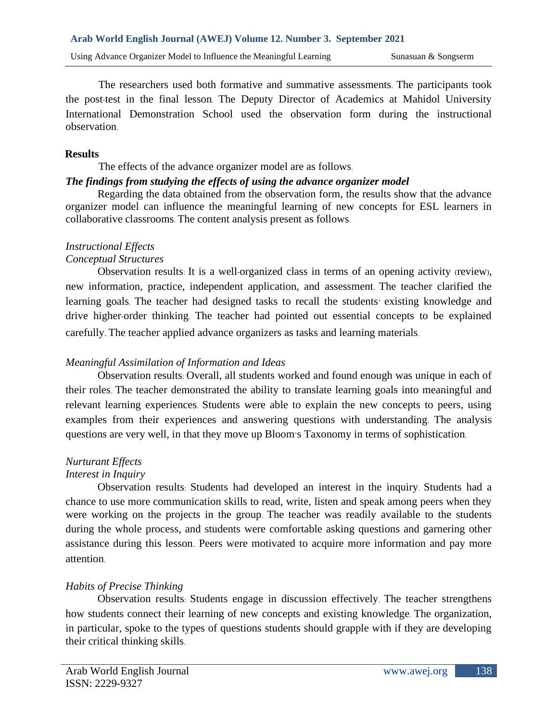The researchers used both formative and summative assessments. The participants took the post-test in the final lesson. The Deputy Director of Academics at Mahidol University International Demonstration School used the observation form during the instructional observation.

### **Results**

#### The effects of the advance organizer model are as follows. *The findings from studying the effects of using the advance organizer model*

Regarding the data obtained from the observation form, the results show that the advance organizer model can influence the meaningful learning of new concepts for ESL learners in collaborative classrooms. The content analysis present as follows.

# *Instructional Effects*

## *Conceptual Structures*

Observation results: It is a well-organized class in terms of an opening activity (review), new information, practice, independent application, and assessment. The teacher clarified the learning goals. The teacher had designed tasks to recall the students' existing knowledge and drive higher-order thinking. The teacher had pointed out essential concepts to be explained carefully. The teacher applied advance organizers as tasks and learning materials.

# *Meaningful Assimilation of Information and Ideas*

Observation results: Overall, all students worked and found enough was unique in each of their roles. The teacher demonstrated the ability to translate learning goals into meaningful and relevant learning experiences. Students were able to explain the new concepts to peers, using examples from their experiences and answering questions with understanding. The analysis questions are very well, in that they move up Bloom's Taxonomy in terms of sophistication.

# *Nurturant Effects*

# *Interest in Inquiry*

Observation results: Students had developed an interest in the inquiry. Students had a chance to use more communication skills to read, write, listen and speak among peers when they were working on the projects in the group. The teacher was readily available to the students during the whole process, and students were comfortable asking questions and garnering other assistance during this lesson. Peers were motivated to acquire more information and pay more attention.

# *Habits of Precise Thinking*

Observation results: Students engage in discussion effectively. The teacher strengthens how students connect their learning of new concepts and existing knowledge. The organization, in particular, spoke to the types of questions students should grapple with if they are developing their critical thinking skills.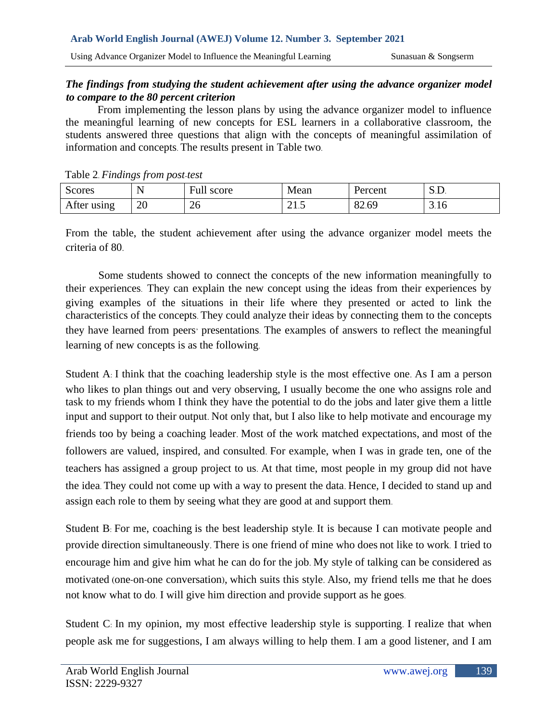#### *The findings from studying the student achievement after using the advance organizer model to compare to the 80 percent criterion*

From implementing the lesson plans by using the advance organizer model to influence the meaningful learning of new concepts for ESL learners in a collaborative classroom, the students answered three questions that align with the concepts of meaningful assimilation of information and concepts. The results present in Table two.

| raone $2.1$ maings from posi-test |    |            |      |         |              |  |  |
|-----------------------------------|----|------------|------|---------|--------------|--|--|
| Scores                            |    | Full score | Mean | Percent | $\Delta L$ . |  |  |
| After using                       | 20 | 26         | 41.J | 82.69   | 3.16         |  |  |

Table 2. *Findings from post-test* 

From the table, the student achievement after using the advance organizer model meets the criteria of 80.

Some students showed to connect the concepts of the new information meaningfully to their experiences. They can explain the new concept using the ideas from their experiences by giving examples of the situations in their life where they presented or acted to link the characteristics of the concepts. They could analyze their ideas by connecting them to the concepts they have learned from peers' presentations. The examples of answers to reflect the meaningful learning of new concepts is as the following.

Student A: I think that the coaching leadership style is the most effective one. As I am a person who likes to plan things out and very observing, I usually become the one who assigns role and task to my friends whom I think they have the potential to do the jobs and later give them a little input and support to their output. Not only that, but I also like to help motivate and encourage my friends too by being a coaching leader. Most of the work matched expectations, and most of the followers are valued, inspired, and consulted. For example, when I was in grade ten, one of the teachers has assigned a group project to us. At that time, most people in my group did not have the idea. They could not come up with a way to present the data. Hence, I decided to stand up and assign each role to them by seeing what they are good at and support them.

Student B: For me, coaching is the best leadership style. It is because I can motivate people and provide direction simultaneously. There is one friend of mine who does not like to work. I tried to encourage him and give him what he can do for the job. My style of talking can be considered as motivated (one-on-one conversation), which suits this style. Also, my friend tells me that he does not know what to do. I will give him direction and provide support as he goes.

Student C: In my opinion, my most effective leadership style is supporting. I realize that when people ask me for suggestions, I am always willing to help them. I am a good listener, and I am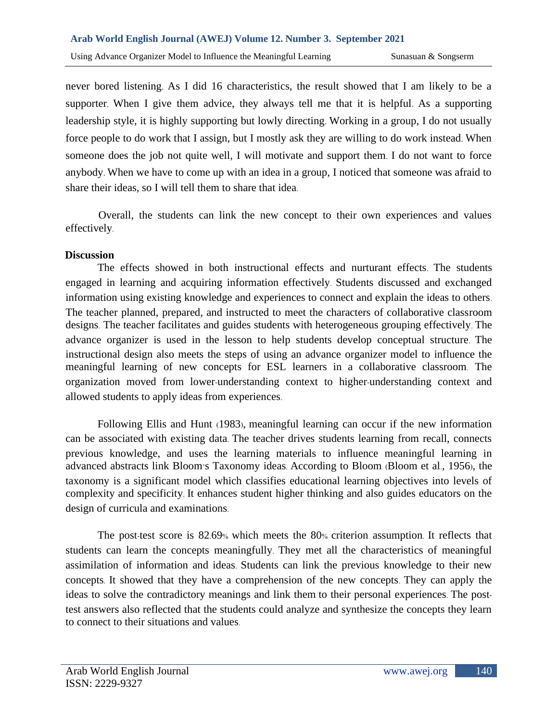never bored listening. As I did 16 characteristics, the result showed that I am likely to be a supporter. When I give them advice, they always tell me that it is helpful. As a supporting leadership style, it is highly supporting but lowly directing. Working in a group, I do not usually force people to do work that I assign, but I mostly ask they are willing to do work instead. When someone does the job not quite well, I will motivate and support them. I do not want to force anybody. When we have to come up with an idea in a group, I noticed that someone was afraid to share their ideas, so I will tell them to share that idea.

Overall, the students can link the new concept to their own experiences and values effectively.

## **Discussion**

The effects showed in both instructional effects and nurturant effects. The students engaged in learning and acquiring information effectively. Students discussed and exchanged information using existing knowledge and experiences to connect and explain the ideas to others. The teacher planned, prepared, and instructed to meet the characters of collaborative classroom designs. The teacher facilitates and guides students with heterogeneous grouping effectively. The advance organizer is used in the lesson to help students develop conceptual structure. The instructional design also meets the steps of using an advance organizer model to influence the meaningful learning of new concepts for ESL learners in a collaborative classroom. The organization moved from lower-understanding context to higher-understanding context and allowed students to apply ideas from experiences.

Following Ellis and Hunt (1983), meaningful learning can occur if the new information can be associated with existing data. The teacher drives students learning from recall, connects previous knowledge, and uses the learning materials to influence meaningful learning in advanced abstracts link Bloom's Taxonomy ideas. According to Bloom (Bloom et al., 1956), the taxonomy is a significant model which classifies educational learning objectives into levels of complexity and specificity. It enhances student higher thinking and also guides educators on the design of curricula and examinations.

The post-test score is 82.69% which meets the 80% criterion assumption. It reflects that students can learn the concepts meaningfully. They met all the characteristics of meaningful assimilation of information and ideas. Students can link the previous knowledge to their new concepts. It showed that they have a comprehension of the new concepts. They can apply the ideas to solve the contradictory meanings and link them to their personal experiences. The posttest answers also reflected that the students could analyze and synthesize the concepts they learn to connect to their situations and values.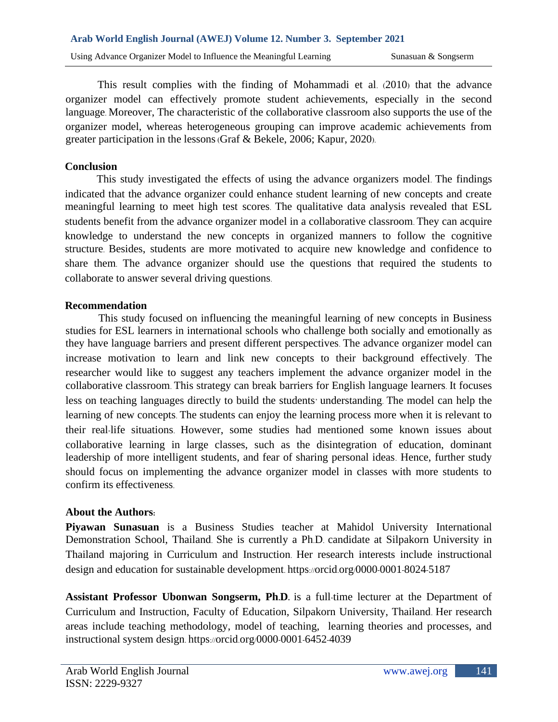This result complies with the finding of Mohammadi et al. (2010) that the advance organizer model can effectively promote student achievements, especially in the second language. Moreover, The characteristic of the collaborative classroom also supports the use of the organizer model, whereas heterogeneous grouping can improve academic achievements from greater participation in the lessons(Graf & Bekele, 2006; Kapur, 2020).

### **Conclusion**

This study investigated the effects of using the advance organizers model. The findings indicated that the advance organizer could enhance student learning of new concepts and create meaningful learning to meet high test scores. The qualitative data analysis revealed that ESL students benefit from the advance organizer model in a collaborative classroom. They can acquire knowledge to understand the new concepts in organized manners to follow the cognitive structure. Besides, students are more motivated to acquire new knowledge and confidence to share them. The advance organizer should use the questions that required the students to collaborate to answer several driving questions.

#### **Recommendation**

This study focused on influencing the meaningful learning of new concepts in Business studies for ESL learners in international schools who challenge both socially and emotionally as they have language barriers and present different perspectives. The advance organizer model can increase motivation to learn and link new concepts to their background effectively. The researcher would like to suggest any teachers implement the advance organizer model in the collaborative classroom. This strategy can break barriers for English language learners. It focuses less on teaching languages directly to build the students' understanding. The model can help the learning of new concepts. The students can enjoy the learning process more when it is relevant to their real-life situations. However, some studies had mentioned some known issues about collaborative learning in large classes, such as the disintegration of education, dominant leadership of more intelligent students, and fear of sharing personal ideas. Hence, further study should focus on implementing the advance organizer model in classes with more students to confirm its effectiveness.

## **About the Authors:**

**Piyawan Sunasuan** is a Business Studies teacher at Mahidol University International Demonstration School, Thailand. She is currently a Ph.D. candidate at Silpakorn University in Thailand majoring in Curriculum and Instruction. Her research interests include instructional design and education for sustainable development. https://orcid.org/0000-0001-8024-5187

**Assistant Professor Ubonwan Songserm, Ph.D.** is a full-time lecturer at the Department of Curriculum and Instruction, Faculty of Education, Silpakorn University, Thailand. Her research areas include teaching methodology, model of teaching, learning theories and processes, and instructional system design. https://orcid.org/0000-0001-6452-4039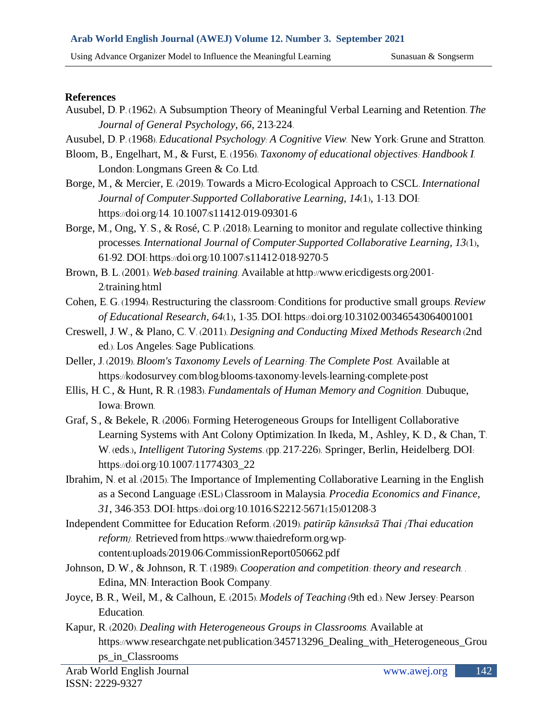#### **References**

- Ausubel, D. P. (1962). A Subsumption Theory of Meaningful Verbal Learning and Retention. *The Journal of General Psychology, 66*, 213-224.
- Ausubel, D. P. (1968). *Educational Psychology: A Cognitive View.* New York: Grune and Stratton.
- Bloom, B., Engelhart, M., & Furst, E. (1956). *Taxonomy of educational objectives: Handbook I.* London: Longmans Green & Co. Ltd.
- Borge, M., & Mercier, E. (2019). Towards a Micro-Ecological Approach to CSCL. *International Journal of Computer-Supported Collaborative Learning, 14*(1), 1-13. DOI: https://doi.org/14. 10.1007/s11412-019-09301-6
- Borge, M., Ong, Y. S., & Rosé, C. P. (2018). Learning to monitor and regulate collective thinking processes. *International Journal of Computer-Supported Collaborative Learning, 13*(1), 61-92. DOI: https://doi.org/10.1007/s11412-018-9270-5
- Brown, B. L. (2001). *Web-based training*. Available at http://www.ericdigests.org/2001- 2/training.html
- Cohen, E. G. (1994). Restructuring the classroom: Conditions for productive small groups. *Review of Educational Research, 64*(1), 1-35. DOI: https://doi.org/10.3102/00346543064001001
- Creswell, J. W., & Plano, C. V. (2011). *Designing and Conducting Mixed Methods Research* (2nd ed.). Los Angeles: Sage Publications.
- Deller, J. (2019). *Bloom's Taxonomy Levels of Learning: The Complete Post.* Available at https://kodosurvey.com/blog/blooms-taxonomy-levels-learning-complete-post
- Ellis, H. C., & Hunt, R. R. (1983). *Fundamentals of Human Memory and Cognition.* Dubuque, Iowa: Brown.
- Graf, S., & Bekele, R. (2006). Forming Heterogeneous Groups for Intelligent Collaborative Learning Systems with Ant Colony Optimization. In Ikeda, M., Ashley, K. D., & Chan, T. W. (eds.), *Intelligent Tutoring Systems*. (pp. 217-226). Springer, Berlin, Heidelberg. DOI: https://doi.org/10.1007/11774303\_22
- Ibrahim, N. et al. (2015). The Importance of Implementing Collaborative Learning in the English as a Second Language (ESL) Classroom in Malaysia. *Procedia Economics and Finance, 31*, 346-353. DOI: https://doi.org/10.1016/S2212-5671(15)01208-3
- Independent Committee for Education Reform. (2019). *patirūp kānsưksā Thai [Thai education reform].* Retrieved from https://www.thaiedreform.org/wpcontent/uploads/2019/06/CommissionReport050662.pdf
- Johnson, D. W., & Johnson, R. T. (1989). *Cooperation and competition: theory and research. .* Edina, MN: Interaction Book Company.
- Joyce, B. R., Weil, M., & Calhoun, E. (2015). *Models of Teaching* (9th ed.). New Jersey: Pearson Education.
- Kapur, R. (2020). *Dealing with Heterogeneous Groups in Classrooms.* Available at https://www.researchgate.net/publication/345713296\_Dealing\_with\_Heterogeneous\_Grou ps\_in\_Classrooms